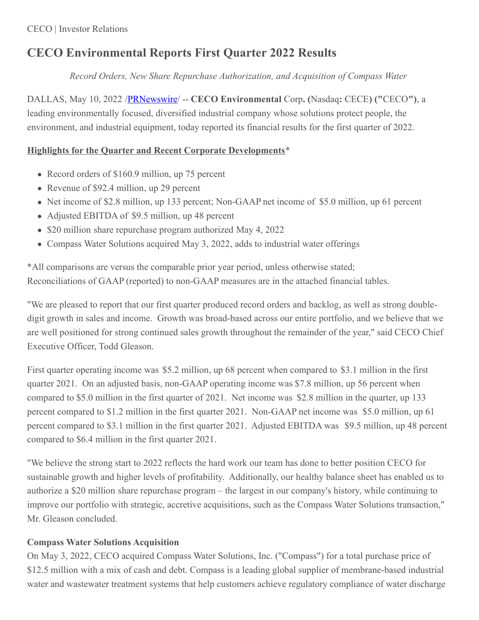# **CECO Environmental Reports First Quarter 2022 Results**

*Record Orders, New Share Repurchase Authorization, and Acquisition of Compass Water*

DALLAS, May 10, 2022 [/PRNewswire](http://www.prnewswire.com/)/ -- **CECO Environmental** Corp**. (**Nasdaq**:** CECE**) ("**CECO**")**, a leading environmentally focused, diversified industrial company whose solutions protect people, the environment, and industrial equipment, today reported its financial results for the first quarter of 2022.

# **Highlights for the Quarter and Recent Corporate Developments**\*

- Record orders of \$160.9 million, up 75 percent
- Revenue of \$92.4 million, up 29 percent
- Net income of \$2.8 million, up 133 percent; Non-GAAP net income of \$5.0 million, up 61 percent
- Adjusted EBITDA of \$9.5 million, up 48 percent
- \$20 million share repurchase program authorized May 4, 2022
- Compass Water Solutions acquired May 3, 2022, adds to industrial water offerings

\*All comparisons are versus the comparable prior year period, unless otherwise stated; Reconciliations of GAAP (reported) to non-GAAP measures are in the attached financial tables.

"We are pleased to report that our first quarter produced record orders and backlog, as well as strong doubledigit growth in sales and income. Growth was broad-based across our entire portfolio, and we believe that we are well positioned for strong continued sales growth throughout the remainder of the year," said CECO Chief Executive Officer, Todd Gleason.

First quarter operating income was \$5.2 million, up 68 percent when compared to \$3.1 million in the first quarter 2021. On an adjusted basis, non-GAAP operating income was \$7.8 million, up 56 percent when compared to \$5.0 million in the first quarter of 2021. Net income was \$2.8 million in the quarter, up 133 percent compared to \$1.2 million in the first quarter 2021. Non-GAAP net income was \$5.0 million, up 61 percent compared to \$3.1 million in the first quarter 2021. Adjusted EBITDA was \$9.5 million, up 48 percent compared to \$6.4 million in the first quarter 2021.

"We believe the strong start to 2022 reflects the hard work our team has done to better position CECO for sustainable growth and higher levels of profitability. Additionally, our healthy balance sheet has enabled us to authorize a \$20 million share repurchase program – the largest in our company's history, while continuing to improve our portfolio with strategic, accretive acquisitions, such as the Compass Water Solutions transaction," Mr. Gleason concluded.

# **Compass Water Solutions Acquisition**

On May 3, 2022, CECO acquired Compass Water Solutions, Inc. ("Compass") for a total purchase price of \$12.5 million with a mix of cash and debt. Compass is a leading global supplier of membrane-based industrial water and wastewater treatment systems that help customers achieve regulatory compliance of water discharge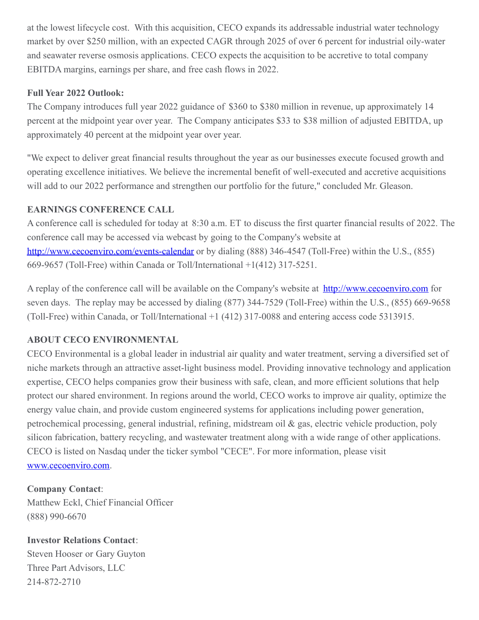at the lowest lifecycle cost. With this acquisition, CECO expands its addressable industrial water technology market by over \$250 million, with an expected CAGR through 2025 of over 6 percent for industrial oily-water and seawater reverse osmosis applications. CECO expects the acquisition to be accretive to total company EBITDA margins, earnings per share, and free cash flows in 2022.

# **Full Year 2022 Outlook:**

The Company introduces full year 2022 guidance of \$360 to \$380 million in revenue, up approximately 14 percent at the midpoint year over year. The Company anticipates \$33 to \$38 million of adjusted EBITDA, up approximately 40 percent at the midpoint year over year.

"We expect to deliver great financial results throughout the year as our businesses execute focused growth and operating excellence initiatives. We believe the incremental benefit of well-executed and accretive acquisitions will add to our 2022 performance and strengthen our portfolio for the future," concluded Mr. Gleason.

## **EARNINGS CONFERENCE CALL**

A conference call is scheduled for today at 8:30 a.m. ET to discuss the first quarter financial results of 2022. The conference call may be accessed via webcast by going to the Company's website at <http://www.cecoenviro.com/events-calendar> or by dialing (888) 346-4547 (Toll-Free) within the U.S., (855) 669-9657 (Toll-Free) within Canada or Toll/International +1(412) 317-5251.

A replay of the conference call will be available on the Company's website at <http://www.cecoenviro.com> for seven days. The replay may be accessed by dialing (877) 344-7529 (Toll-Free) within the U.S., (855) 669-9658 (Toll-Free) within Canada, or Toll/International +1 (412) 317-0088 and entering access code 5313915.

# **ABOUT CECO ENVIRONMENTAL**

CECO Environmental is a global leader in industrial air quality and water treatment, serving a diversified set of niche markets through an attractive asset-light business model. Providing innovative technology and application expertise, CECO helps companies grow their business with safe, clean, and more efficient solutions that help protect our shared environment. In regions around the world, CECO works to improve air quality, optimize the energy value chain, and provide custom engineered systems for applications including power generation, petrochemical processing, general industrial, refining, midstream oil & gas, electric vehicle production, poly silicon fabrication, battery recycling, and wastewater treatment along with a wide range of other applications. CECO is listed on Nasdaq under the ticker symbol "CECE". For more information, please visit [www.cecoenviro.com](https://c212.net/c/link/?t=0&l=en&o=3530512-1&h=2968005236&u=http%3A%2F%2Fwww.cecoenviro.com%2F&a=www.cecoenviro.com).

**Company Contact**: Matthew Eckl, Chief Financial Officer (888) 990-6670

**Investor Relations Contact**: Steven Hooser or Gary Guyton Three Part Advisors, LLC 214-872-2710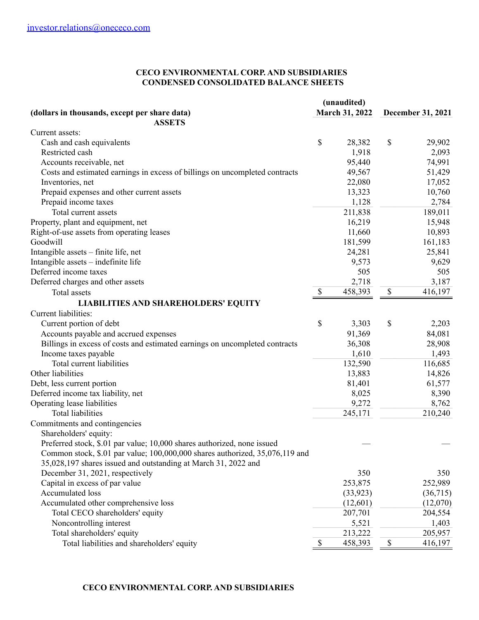#### **CECO ENVIRONMENTAL CORP. AND SUBSIDIARIES CONDENSED CONSOLIDATED BALANCE SHEETS**

| (unaudited)                                                                  |                           |                |                           |          |
|------------------------------------------------------------------------------|---------------------------|----------------|---------------------------|----------|
| (dollars in thousands, except per share data)                                |                           | March 31, 2022 | December 31, 2021         |          |
| <b>ASSETS</b>                                                                |                           |                |                           |          |
| Current assets:                                                              |                           |                |                           |          |
| Cash and cash equivalents                                                    | \$                        | 28,382         | \$                        | 29,902   |
| Restricted cash                                                              |                           | 1,918          |                           | 2,093    |
| Accounts receivable, net                                                     |                           | 95,440         |                           | 74,991   |
| Costs and estimated earnings in excess of billings on uncompleted contracts  |                           | 49,567         |                           | 51,429   |
| Inventories, net                                                             |                           | 22,080         |                           | 17,052   |
| Prepaid expenses and other current assets                                    |                           | 13,323         |                           | 10,760   |
| Prepaid income taxes                                                         |                           | 1,128          |                           | 2,784    |
| Total current assets                                                         |                           | 211,838        |                           | 189,011  |
| Property, plant and equipment, net                                           |                           | 16,219         |                           | 15,948   |
| Right-of-use assets from operating leases                                    |                           | 11,660         |                           | 10,893   |
| Goodwill                                                                     |                           | 181,599        |                           | 161,183  |
| Intangible assets - finite life, net                                         |                           | 24,281         |                           | 25,841   |
| Intangible assets - indefinite life                                          |                           | 9,573          |                           | 9,629    |
| Deferred income taxes                                                        |                           | 505            |                           | 505      |
| Deferred charges and other assets                                            |                           | 2,718          |                           | 3,187    |
| Total assets                                                                 | $\boldsymbol{\mathsf{S}}$ | 458,393        | $\boldsymbol{\mathsf{S}}$ | 416,197  |
| <b>LIABILITIES AND SHAREHOLDERS' EQUITY</b>                                  |                           |                |                           |          |
| Current liabilities:                                                         |                           |                |                           |          |
| Current portion of debt                                                      | \$                        | 3,303          | \$                        | 2,203    |
| Accounts payable and accrued expenses                                        |                           | 91,369         |                           | 84,081   |
| Billings in excess of costs and estimated earnings on uncompleted contracts  |                           | 36,308         |                           | 28,908   |
| Income taxes payable                                                         |                           | 1,610          |                           | 1,493    |
| Total current liabilities                                                    |                           | 132,590        |                           | 116,685  |
| Other liabilities                                                            |                           | 13,883         |                           | 14,826   |
| Debt, less current portion                                                   |                           | 81,401         |                           | 61,577   |
| Deferred income tax liability, net                                           |                           | 8,025          |                           | 8,390    |
|                                                                              |                           | 9,272          |                           |          |
| Operating lease liabilities<br><b>Total liabilities</b>                      |                           |                |                           | 8,762    |
|                                                                              |                           | 245,171        |                           | 210,240  |
| Commitments and contingencies                                                |                           |                |                           |          |
| Shareholders' equity:                                                        |                           |                |                           |          |
| Preferred stock, \$.01 par value; 10,000 shares authorized, none issued      |                           |                |                           |          |
| Common stock, \$.01 par value; 100,000,000 shares authorized, 35,076,119 and |                           |                |                           |          |
| 35,028,197 shares issued and outstanding at March 31, 2022 and               |                           |                |                           |          |
| December 31, 2021, respectively                                              |                           | 350            |                           | 350      |
| Capital in excess of par value                                               |                           | 253,875        |                           | 252,989  |
| <b>Accumulated loss</b>                                                      |                           | (33, 923)      |                           | (36,715) |
| Accumulated other comprehensive loss                                         |                           | (12,601)       |                           | (12,070) |
| Total CECO shareholders' equity                                              |                           | 207,701        |                           | 204,554  |
| Noncontrolling interest                                                      |                           | 5,521          |                           | 1,403    |
| Total shareholders' equity                                                   |                           | 213,222        |                           | 205,957  |
| Total liabilities and shareholders' equity                                   | $\$$                      | 458,393        | \$                        | 416,197  |

### **CECO ENVIRONMENTAL CORP. AND SUBSIDIARIES**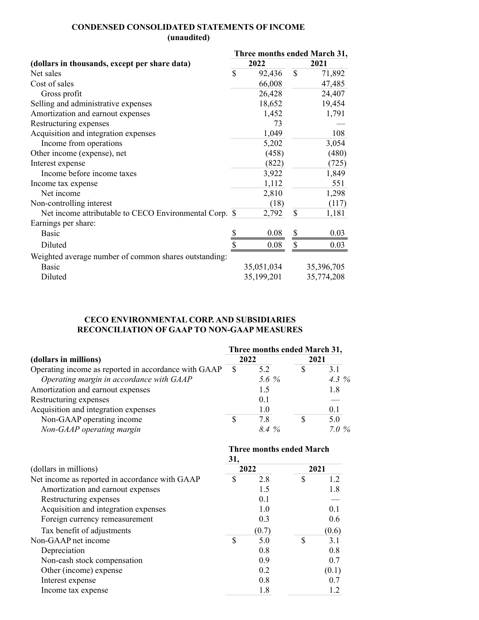### **CONDENSED CONSOLIDATED STATEMENTS OF INCOME (unaudited)**

|                                                        |              | Three months ended March 31, |      |            |  |  |
|--------------------------------------------------------|--------------|------------------------------|------|------------|--|--|
| (dollars in thousands, except per share data)          |              | 2022                         | 2021 |            |  |  |
| Net sales                                              | $\mathbb{S}$ | 92,436                       | \$   | 71,892     |  |  |
| Cost of sales                                          |              | 66,008                       |      | 47,485     |  |  |
| Gross profit                                           |              | 26,428                       |      | 24,407     |  |  |
| Selling and administrative expenses                    |              | 18,652                       |      | 19,454     |  |  |
| Amortization and earnout expenses                      |              | 1,452                        |      | 1,791      |  |  |
| Restructuring expenses                                 |              | 73                           |      |            |  |  |
| Acquisition and integration expenses                   |              | 1,049                        |      | 108        |  |  |
| Income from operations                                 |              | 5,202                        |      | 3,054      |  |  |
| Other income (expense), net                            |              | (458)                        |      | (480)      |  |  |
| Interest expense                                       |              | (822)                        |      | (725)      |  |  |
| Income before income taxes                             |              | 3,922                        |      | 1,849      |  |  |
| Income tax expense                                     |              | 1,112                        |      | 551        |  |  |
| Net income                                             |              | 2,810                        |      | 1,298      |  |  |
| Non-controlling interest                               |              | (18)                         |      | (117)      |  |  |
| Net income attributable to CECO Environmental Corp. \$ |              | 2,792                        | \$   | 1,181      |  |  |
| Earnings per share:                                    |              |                              |      |            |  |  |
| <b>Basic</b>                                           |              | 0.08                         | \$   | 0.03       |  |  |
| Diluted                                                |              | 0.08                         | \$   | 0.03       |  |  |
| Weighted average number of common shares outstanding:  |              |                              |      |            |  |  |
| <b>Basic</b>                                           |              | 35,051,034                   |      | 35,396,705 |  |  |
| Diluted                                                |              | 35,199,201                   |      | 35,774,208 |  |  |

### **CECO ENVIRONMENTAL CORP. AND SUBSIDIARIES RECONCILIATION OF GAAP TO NON-GAAP MEASURES**

|                                                      | Three months ended March 31, |          |      |          |  |
|------------------------------------------------------|------------------------------|----------|------|----------|--|
| (dollars in millions)                                |                              | 2022     | 2021 |          |  |
| Operating income as reported in accordance with GAAP | S                            | 52       |      | 3.1      |  |
| Operating margin in accordance with GAAP             |                              | 5.6 $\%$ |      | 4.3 $\%$ |  |
| Amortization and earnout expenses                    |                              | 1.5      |      | 1.8      |  |
| Restructuring expenses                               |                              | 0.1      |      |          |  |
| Acquisition and integration expenses                 |                              | 1.0      |      | 0.1      |  |
| Non-GAAP operating income                            |                              | 7.8      |      | 5.0      |  |
| Non-GAAP operating margin                            |                              | $8.4\%$  |      | $7.0\%$  |  |

| (dollars in millions)                          |    | Three months ended March<br>31, |    |       |  |  |
|------------------------------------------------|----|---------------------------------|----|-------|--|--|
|                                                |    | 2022                            |    | 2021  |  |  |
| Net income as reported in accordance with GAAP | \$ | 2.8                             | \$ | 1.2   |  |  |
| Amortization and earnout expenses              |    | 1.5                             |    | 1.8   |  |  |
| Restructuring expenses                         |    | 0.1                             |    |       |  |  |
| Acquisition and integration expenses           |    | 1.0                             |    | 0.1   |  |  |
| Foreign currency remeasurement                 |    | 0.3                             |    | 0.6   |  |  |
| Tax benefit of adjustments                     |    | (0.7)                           |    | (0.6) |  |  |
| Non-GAAP net income                            | \$ | 5.0                             | \$ | 3.1   |  |  |
| Depreciation                                   |    | 0.8                             |    | 0.8   |  |  |
| Non-cash stock compensation                    |    | 0.9                             |    | 0.7   |  |  |
| Other (income) expense                         |    | 0.2                             |    | (0.1) |  |  |
| Interest expense                               |    | 0.8                             |    | 0.7   |  |  |
| Income tax expense                             |    | 1.8                             |    |       |  |  |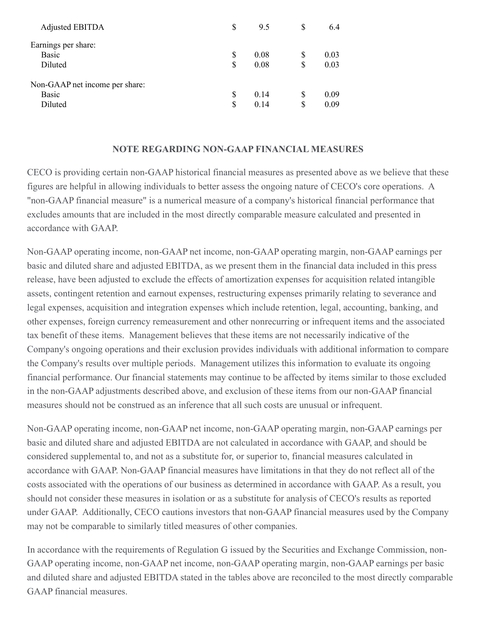| <b>Adjusted EBITDA</b>         | S   | 9.5  | S  | 6.4  |
|--------------------------------|-----|------|----|------|
| Earnings per share:            |     |      |    |      |
| <b>Basic</b>                   | S   | 0.08 | S  | 0.03 |
| Diluted                        | \$  | 0.08 | \$ | 0.03 |
| Non-GAAP net income per share: |     |      |    |      |
| <b>Basic</b>                   | \$. | 0.14 | \$ | 0.09 |
| Diluted                        | \$. | 0.14 | \$ | 0.09 |

### **NOTE REGARDING NON-GAAP FINANCIAL MEASURES**

CECO is providing certain non-GAAP historical financial measures as presented above as we believe that these figures are helpful in allowing individuals to better assess the ongoing nature of CECO's core operations. A "non-GAAP financial measure" is a numerical measure of a company's historical financial performance that excludes amounts that are included in the most directly comparable measure calculated and presented in accordance with GAAP.

Non-GAAP operating income, non-GAAP net income, non-GAAP operating margin, non-GAAP earnings per basic and diluted share and adjusted EBITDA, as we present them in the financial data included in this press release, have been adjusted to exclude the effects of amortization expenses for acquisition related intangible assets, contingent retention and earnout expenses, restructuring expenses primarily relating to severance and legal expenses, acquisition and integration expenses which include retention, legal, accounting, banking, and other expenses, foreign currency remeasurement and other nonrecurring or infrequent items and the associated tax benefit of these items. Management believes that these items are not necessarily indicative of the Company's ongoing operations and their exclusion provides individuals with additional information to compare the Company's results over multiple periods. Management utilizes this information to evaluate its ongoing financial performance. Our financial statements may continue to be affected by items similar to those excluded in the non-GAAP adjustments described above, and exclusion of these items from our non-GAAP financial measures should not be construed as an inference that all such costs are unusual or infrequent.

Non-GAAP operating income, non-GAAP net income, non-GAAP operating margin, non-GAAP earnings per basic and diluted share and adjusted EBITDA are not calculated in accordance with GAAP, and should be considered supplemental to, and not as a substitute for, or superior to, financial measures calculated in accordance with GAAP. Non-GAAP financial measures have limitations in that they do not reflect all of the costs associated with the operations of our business as determined in accordance with GAAP. As a result, you should not consider these measures in isolation or as a substitute for analysis of CECO's results as reported under GAAP. Additionally, CECO cautions investors that non-GAAP financial measures used by the Company may not be comparable to similarly titled measures of other companies.

In accordance with the requirements of Regulation G issued by the Securities and Exchange Commission, non-GAAP operating income, non-GAAP net income, non-GAAP operating margin, non-GAAP earnings per basic and diluted share and adjusted EBITDA stated in the tables above are reconciled to the most directly comparable GAAP financial measures.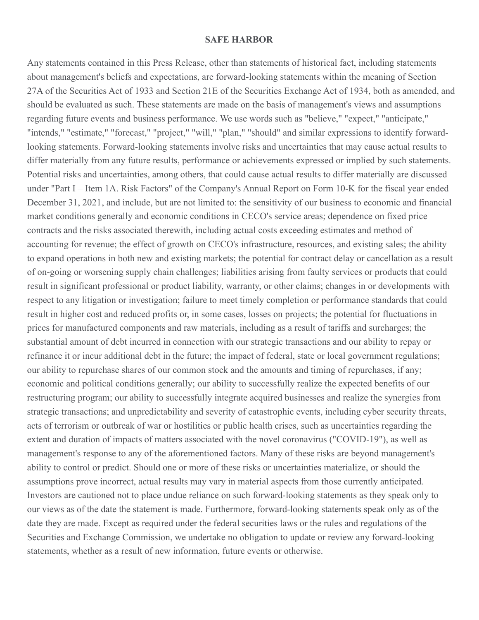#### **SAFE HARBOR**

Any statements contained in this Press Release, other than statements of historical fact, including statements about management's beliefs and expectations, are forward-looking statements within the meaning of Section 27A of the Securities Act of 1933 and Section 21E of the Securities Exchange Act of 1934, both as amended, and should be evaluated as such. These statements are made on the basis of management's views and assumptions regarding future events and business performance. We use words such as "believe," "expect," "anticipate," "intends," "estimate," "forecast," "project," "will," "plan," "should" and similar expressions to identify forwardlooking statements. Forward-looking statements involve risks and uncertainties that may cause actual results to differ materially from any future results, performance or achievements expressed or implied by such statements. Potential risks and uncertainties, among others, that could cause actual results to differ materially are discussed under "Part I – Item 1A. Risk Factors" of the Company's Annual Report on Form 10-K for the fiscal year ended December 31, 2021, and include, but are not limited to: the sensitivity of our business to economic and financial market conditions generally and economic conditions in CECO's service areas; dependence on fixed price contracts and the risks associated therewith, including actual costs exceeding estimates and method of accounting for revenue; the effect of growth on CECO's infrastructure, resources, and existing sales; the ability to expand operations in both new and existing markets; the potential for contract delay or cancellation as a result of on-going or worsening supply chain challenges; liabilities arising from faulty services or products that could result in significant professional or product liability, warranty, or other claims; changes in or developments with respect to any litigation or investigation; failure to meet timely completion or performance standards that could result in higher cost and reduced profits or, in some cases, losses on projects; the potential for fluctuations in prices for manufactured components and raw materials, including as a result of tariffs and surcharges; the substantial amount of debt incurred in connection with our strategic transactions and our ability to repay or refinance it or incur additional debt in the future; the impact of federal, state or local government regulations; our ability to repurchase shares of our common stock and the amounts and timing of repurchases, if any; economic and political conditions generally; our ability to successfully realize the expected benefits of our restructuring program; our ability to successfully integrate acquired businesses and realize the synergies from strategic transactions; and unpredictability and severity of catastrophic events, including cyber security threats, acts of terrorism or outbreak of war or hostilities or public health crises, such as uncertainties regarding the extent and duration of impacts of matters associated with the novel coronavirus ("COVID-19"), as well as management's response to any of the aforementioned factors. Many of these risks are beyond management's ability to control or predict. Should one or more of these risks or uncertainties materialize, or should the assumptions prove incorrect, actual results may vary in material aspects from those currently anticipated. Investors are cautioned not to place undue reliance on such forward-looking statements as they speak only to our views as of the date the statement is made. Furthermore, forward-looking statements speak only as of the date they are made. Except as required under the federal securities laws or the rules and regulations of the Securities and Exchange Commission, we undertake no obligation to update or review any forward-looking statements, whether as a result of new information, future events or otherwise.